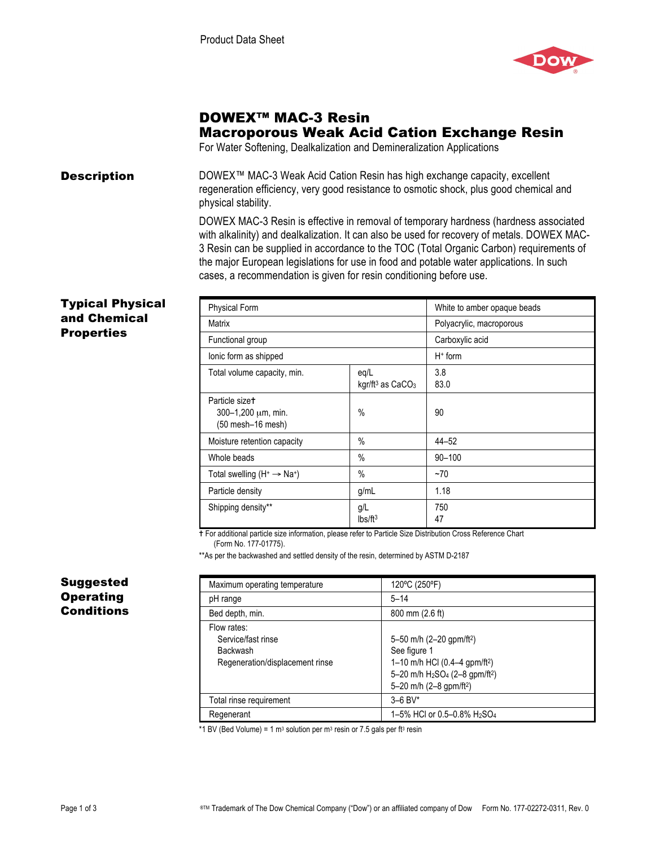

# DOWEX™ MAC-3 Resin Macroporous Weak Acid Cation Exchange Resin

For Water Softening, Dealkalization and Demineralization Applications

**Description** DOWEX<sup>™</sup> MAC-3 Weak Acid Cation Resin has high exchange capacity, excellent regeneration efficiency, very good resistance to osmotic shock, plus good chemical and physical stability.

> DOWEX MAC-3 Resin is effective in removal of temporary hardness (hardness associated with alkalinity) and dealkalization. It can also be used for recovery of metals. DOWEX MAC-3 Resin can be supplied in accordance to the TOC (Total Organic Carbon) requirements of the major European legislations for use in food and potable water applications. In such cases, a recommendation is given for resin conditioning before use.

#### Typical Physical and Chemical **Properties**

| <b>Physical Form</b>                                                       |                                        | White to amber opaque beads |
|----------------------------------------------------------------------------|----------------------------------------|-----------------------------|
| <b>Matrix</b>                                                              |                                        | Polyacrylic, macroporous    |
| Functional group                                                           |                                        | Carboxylic acid             |
| lonic form as shipped                                                      |                                        | $H+$ form                   |
| Total volume capacity, min.                                                | eq/L<br>kgr/ft <sup>3</sup> as $CaCO3$ | 3.8<br>83.0                 |
| Particle size <sup>+</sup><br>300-1,200 $\mu$ m, min.<br>(50 mesh-16 mesh) | $\%$                                   | 90                          |
| Moisture retention capacity                                                | $\%$                                   | $44 - 52$                   |
| Whole beads                                                                | $\%$                                   | $90 - 100$                  |
| Total swelling $(H^+ \rightarrow Na^+)$                                    | $\%$                                   | ~1                          |
| Particle density                                                           | g/mL                                   | 1.18                        |
| Shipping density**                                                         | q/L<br>Ibs/ft <sup>3</sup>             | 750<br>47                   |

 For additional particle size information, please refer to Particle Size Distribution Cross Reference Chart (Form No. 177-01775).

\*\*As per the backwashed and settled density of the resin, determined by ASTM D-2187

| Maximum operating temperature                                                           | 120°C (250°F)                                                                                                                                                                                                  |
|-----------------------------------------------------------------------------------------|----------------------------------------------------------------------------------------------------------------------------------------------------------------------------------------------------------------|
| pH range                                                                                | $5 - 14$                                                                                                                                                                                                       |
| Bed depth, min.                                                                         | 800 mm (2.6 ft)                                                                                                                                                                                                |
| Flow rates:<br>Service/fast rinse<br><b>Backwash</b><br>Regeneration/displacement rinse | 5-50 m/h (2-20 gpm/ft <sup>2</sup> )<br>See figure 1<br>1-10 m/h HCl (0.4-4 gpm/ft <sup>2</sup> )<br>5-20 m/h H <sub>2</sub> SO <sub>4</sub> (2-8 gpm/ft <sup>2</sup> )<br>5-20 m/h (2-8 gpm/ft <sup>2</sup> ) |
| Total rinse requirement                                                                 | $3 - 6$ BV*                                                                                                                                                                                                    |
| Regenerant                                                                              | 1-5% HCI or 0.5-0.8% H <sub>2</sub> SO <sub>4</sub>                                                                                                                                                            |

\*1 BV (Bed Volume) = 1 m<sup>3</sup> solution per m<sup>3</sup> resin or 7.5 gals per ft<sup>3</sup> resin

## Suggested **Operating Conditions**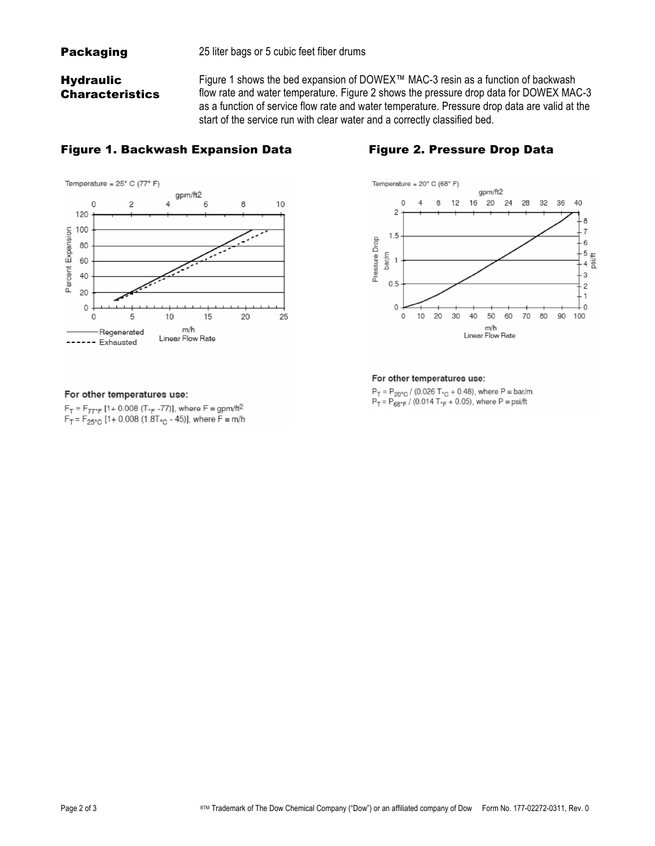## **Hydraulic Characteristics**

Figure 1 shows the bed expansion of DOWEX™ MAC-3 resin as a function of backwash flow rate and water temperature. Figure 2 shows the pressure drop data for DOWEX MAC-3 as a function of service flow rate and water temperature. Pressure drop data are valid at the start of the service run with clear water and a correctly classified bed.

#### Figure 1. Backwash Expansion Data Figure 2. Pressure Drop Data





#### For other temperatures use:

 $F_T = F_{77^\circ F}$  [1+ 0.008 (T<sub>°F</sub> -77)], where  $F = gpm/ft^2$  $F_T = F_{25\degree}$  [1+ 0.008 (1.8T<sub>°C</sub> - 45)], where  $F \equiv m/h$ 



#### For other temperatures use:

 $P_T = P_{20^{\circ}C} / (0.026 T_{\circ C} + 0.48)$ , where  $P = bar/m$  $P_T = P_{68^\circ F} / (0.014 T_{\circ F} + 0.05)$ , where  $P = \text{psi/ft}$